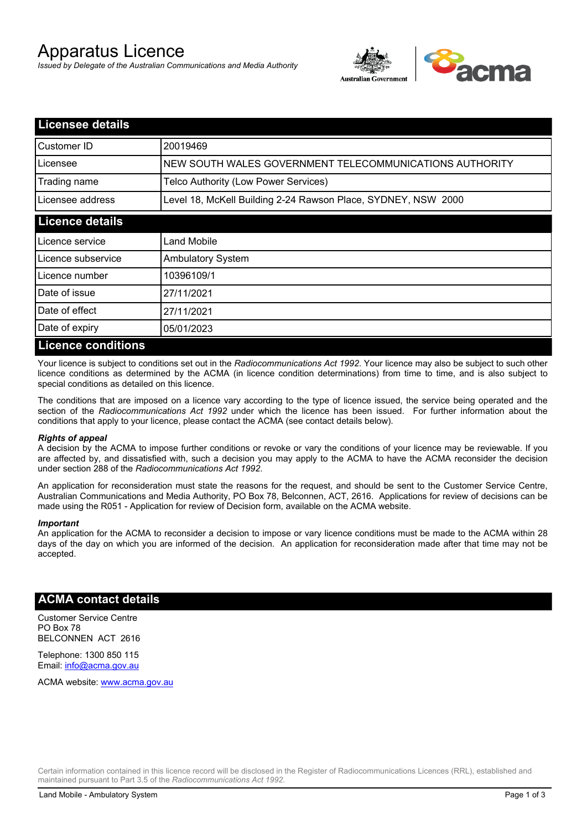# Apparatus Licence

*Issued by Delegate of the Australian Communications and Media Authority*



| <b>Licensee details</b>   |                                                               |  |
|---------------------------|---------------------------------------------------------------|--|
| Customer ID               | 20019469                                                      |  |
| Licensee                  | NEW SOUTH WALES GOVERNMENT TELECOMMUNICATIONS AUTHORITY       |  |
| Trading name              | Telco Authority (Low Power Services)                          |  |
| Licensee address          | Level 18, McKell Building 2-24 Rawson Place, SYDNEY, NSW 2000 |  |
| <b>Licence details</b>    |                                                               |  |
| l Licence service         | Land Mobile                                                   |  |
| Licence subservice        | <b>Ambulatory System</b>                                      |  |
| Licence number            | 10396109/1                                                    |  |
| Date of issue             | 27/11/2021                                                    |  |
| Date of effect            | 27/11/2021                                                    |  |
| Date of expiry            | 05/01/2023                                                    |  |
| <b>Licence conditions</b> |                                                               |  |

Your licence is subject to conditions set out in the *Radiocommunications Act 1992*. Your licence may also be subject to such other licence conditions as determined by the ACMA (in licence condition determinations) from time to time, and is also subject to special conditions as detailed on this licence.

The conditions that are imposed on a licence vary according to the type of licence issued, the service being operated and the section of the *Radiocommunications Act 1992* under which the licence has been issued. For further information about the conditions that apply to your licence, please contact the ACMA (see contact details below).

#### *Rights of appeal*

A decision by the ACMA to impose further conditions or revoke or vary the conditions of your licence may be reviewable. If you are affected by, and dissatisfied with, such a decision you may apply to the ACMA to have the ACMA reconsider the decision under section 288 of the *Radiocommunications Act 1992*.

An application for reconsideration must state the reasons for the request, and should be sent to the Customer Service Centre, Australian Communications and Media Authority, PO Box 78, Belconnen, ACT, 2616. Applications for review of decisions can be made using the R051 - Application for review of Decision form, available on the ACMA website.

#### *Important*

An application for the ACMA to reconsider a decision to impose or vary licence conditions must be made to the ACMA within 28 days of the day on which you are informed of the decision. An application for reconsideration made after that time may not be accepted.

### **ACMA contact details**

Customer Service Centre PO Box 78 BELCONNEN ACT 2616

Telephone: 1300 850 115 Email: info@acma.gov.au

ACMA website: www.acma.gov.au

Certain information contained in this licence record will be disclosed in the Register of Radiocommunications Licences (RRL), established and maintained pursuant to Part 3.5 of the *Radiocommunications Act 1992.*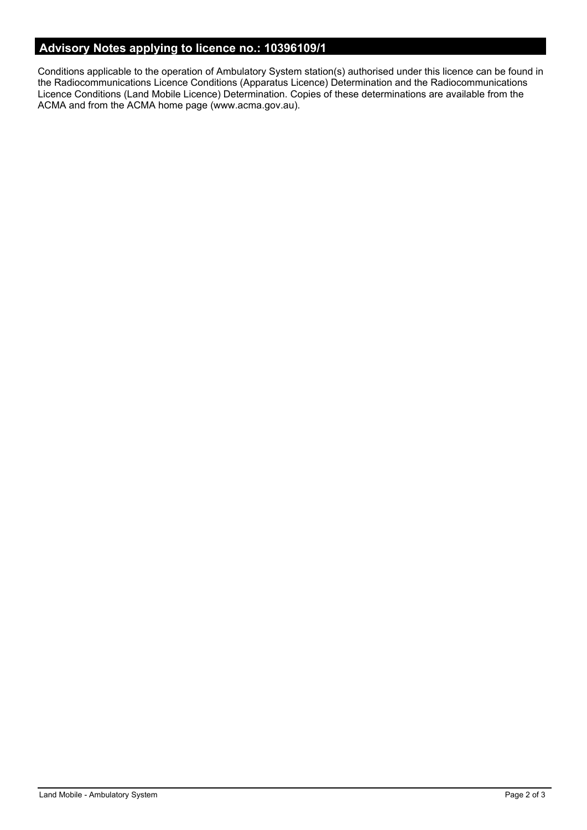# **Advisory Notes applying to licence no.: 10396109/1**

Conditions applicable to the operation of Ambulatory System station(s) authorised under this licence can be found in the Radiocommunications Licence Conditions (Apparatus Licence) Determination and the Radiocommunications Licence Conditions (Land Mobile Licence) Determination. Copies of these determinations are available from the ACMA and from the ACMA home page (www.acma.gov.au).